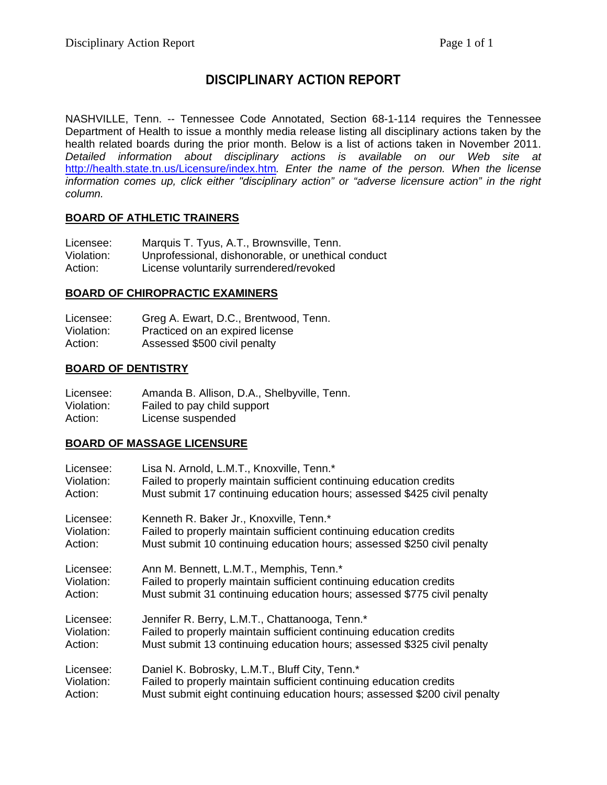# **DISCIPLINARY ACTION REPORT**

NASHVILLE, Tenn. -- Tennessee Code Annotated, Section 68-1-114 requires the Tennessee Department of Health to issue a monthly media release listing all disciplinary actions taken by the health related boards during the prior month. Below is a list of actions taken in November 2011. *Detailed information about disciplinary actions is available on our Web site at*  http://health.state.tn.us/Licensure/index.htm*. Enter the name of the person. When the license information comes up, click either "disciplinary action" or "adverse licensure action" in the right column.* 

### **BOARD OF ATHLETIC TRAINERS**

| Licensee:  | Marquis T. Tyus, A.T., Brownsville, Tenn.          |
|------------|----------------------------------------------------|
| Violation: | Unprofessional, dishonorable, or unethical conduct |
| Action:    | License voluntarily surrendered/revoked            |

#### **BOARD OF CHIROPRACTIC EXAMINERS**

| Licensee:  | Greg A. Ewart, D.C., Brentwood, Tenn. |
|------------|---------------------------------------|
| Violation: | Practiced on an expired license       |
| Action:    | Assessed \$500 civil penalty          |

#### **BOARD OF DENTISTRY**

| Licensee:  | Amanda B. Allison, D.A., Shelbyville, Tenn. |
|------------|---------------------------------------------|
| Violation: | Failed to pay child support                 |
| Action:    | License suspended                           |

#### **BOARD OF MASSAGE LICENSURE**

| Licensee:  | Lisa N. Arnold, L.M.T., Knoxville, Tenn.*                                  |
|------------|----------------------------------------------------------------------------|
| Violation: | Failed to properly maintain sufficient continuing education credits        |
| Action:    | Must submit 17 continuing education hours; assessed \$425 civil penalty    |
| Licensee:  | Kenneth R. Baker Jr., Knoxville, Tenn.*                                    |
| Violation: | Failed to properly maintain sufficient continuing education credits        |
| Action:    | Must submit 10 continuing education hours; assessed \$250 civil penalty    |
| Licensee:  | Ann M. Bennett, L.M.T., Memphis, Tenn.*                                    |
| Violation: | Failed to properly maintain sufficient continuing education credits        |
| Action:    | Must submit 31 continuing education hours; assessed \$775 civil penalty    |
| Licensee:  | Jennifer R. Berry, L.M.T., Chattanooga, Tenn.*                             |
| Violation: | Failed to properly maintain sufficient continuing education credits        |
| Action:    | Must submit 13 continuing education hours; assessed \$325 civil penalty    |
| Licensee:  | Daniel K. Bobrosky, L.M.T., Bluff City, Tenn.*                             |
| Violation: | Failed to properly maintain sufficient continuing education credits        |
| Action:    | Must submit eight continuing education hours; assessed \$200 civil penalty |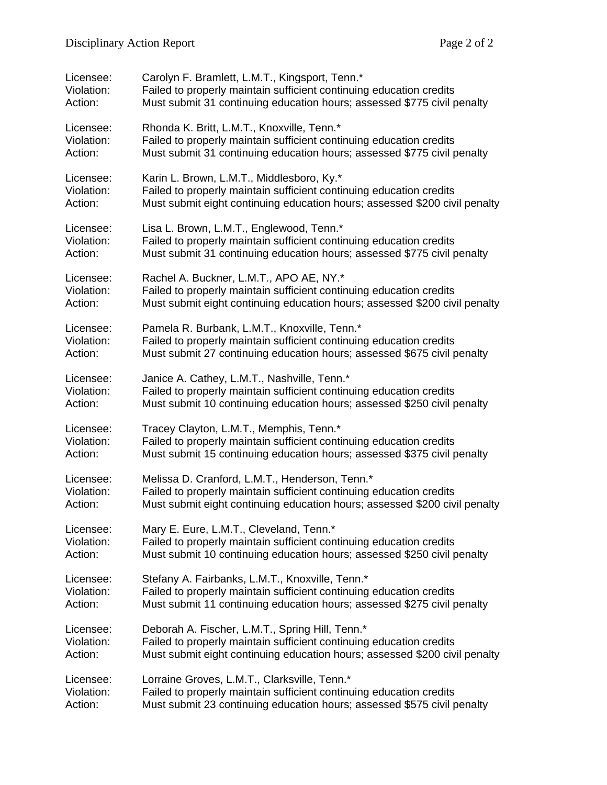| Licensee:  | Carolyn F. Bramlett, L.M.T., Kingsport, Tenn.*                             |
|------------|----------------------------------------------------------------------------|
| Violation: | Failed to properly maintain sufficient continuing education credits        |
| Action:    | Must submit 31 continuing education hours; assessed \$775 civil penalty    |
| Licensee:  | Rhonda K. Britt, L.M.T., Knoxville, Tenn.*                                 |
| Violation: | Failed to properly maintain sufficient continuing education credits        |
| Action:    | Must submit 31 continuing education hours; assessed \$775 civil penalty    |
| Licensee:  | Karin L. Brown, L.M.T., Middlesboro, Ky.*                                  |
| Violation: | Failed to properly maintain sufficient continuing education credits        |
| Action:    | Must submit eight continuing education hours; assessed \$200 civil penalty |
| Licensee:  | Lisa L. Brown, L.M.T., Englewood, Tenn.*                                   |
| Violation: | Failed to properly maintain sufficient continuing education credits        |
| Action:    | Must submit 31 continuing education hours; assessed \$775 civil penalty    |
| Licensee:  | Rachel A. Buckner, L.M.T., APO AE, NY.*                                    |
| Violation: | Failed to properly maintain sufficient continuing education credits        |
| Action:    | Must submit eight continuing education hours; assessed \$200 civil penalty |
| Licensee:  | Pamela R. Burbank, L.M.T., Knoxville, Tenn.*                               |
| Violation: | Failed to properly maintain sufficient continuing education credits        |
| Action:    | Must submit 27 continuing education hours; assessed \$675 civil penalty    |
| Licensee:  | Janice A. Cathey, L.M.T., Nashville, Tenn.*                                |
| Violation: | Failed to properly maintain sufficient continuing education credits        |
| Action:    | Must submit 10 continuing education hours; assessed \$250 civil penalty    |
| Licensee:  | Tracey Clayton, L.M.T., Memphis, Tenn.*                                    |
| Violation: | Failed to properly maintain sufficient continuing education credits        |
| Action:    | Must submit 15 continuing education hours; assessed \$375 civil penalty    |
| Licensee:  | Melissa D. Cranford, L.M.T., Henderson, Tenn.*                             |
| Violation: | Failed to properly maintain sufficient continuing education credits        |
| Action:    | Must submit eight continuing education hours; assessed \$200 civil penalty |
| Licensee:  | Mary E. Eure, L.M.T., Cleveland, Tenn.*                                    |
| Violation: | Failed to properly maintain sufficient continuing education credits        |
| Action:    | Must submit 10 continuing education hours; assessed \$250 civil penalty    |
| Licensee:  | Stefany A. Fairbanks, L.M.T., Knoxville, Tenn.*                            |
| Violation: | Failed to properly maintain sufficient continuing education credits        |
| Action:    | Must submit 11 continuing education hours; assessed \$275 civil penalty    |
| Licensee:  | Deborah A. Fischer, L.M.T., Spring Hill, Tenn.*                            |
| Violation: | Failed to properly maintain sufficient continuing education credits        |
| Action:    | Must submit eight continuing education hours; assessed \$200 civil penalty |
| Licensee:  | Lorraine Groves, L.M.T., Clarksville, Tenn.*                               |
| Violation: | Failed to properly maintain sufficient continuing education credits        |
| Action:    | Must submit 23 continuing education hours; assessed \$575 civil penalty    |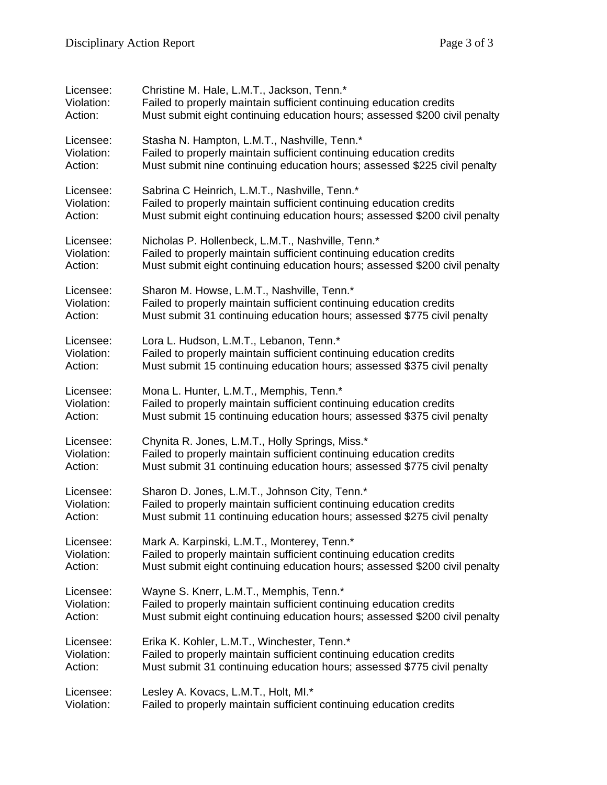| Licensee:  | Christine M. Hale, L.M.T., Jackson, Tenn.*                                 |
|------------|----------------------------------------------------------------------------|
| Violation: | Failed to properly maintain sufficient continuing education credits        |
| Action:    | Must submit eight continuing education hours; assessed \$200 civil penalty |
| Licensee:  | Stasha N. Hampton, L.M.T., Nashville, Tenn.*                               |
| Violation: | Failed to properly maintain sufficient continuing education credits        |
| Action:    | Must submit nine continuing education hours; assessed \$225 civil penalty  |
| Licensee:  | Sabrina C Heinrich, L.M.T., Nashville, Tenn.*                              |
| Violation: | Failed to properly maintain sufficient continuing education credits        |
| Action:    | Must submit eight continuing education hours; assessed \$200 civil penalty |
| Licensee:  | Nicholas P. Hollenbeck, L.M.T., Nashville, Tenn.*                          |
| Violation: | Failed to properly maintain sufficient continuing education credits        |
| Action:    | Must submit eight continuing education hours; assessed \$200 civil penalty |
| Licensee:  | Sharon M. Howse, L.M.T., Nashville, Tenn.*                                 |
| Violation: | Failed to properly maintain sufficient continuing education credits        |
| Action:    | Must submit 31 continuing education hours; assessed \$775 civil penalty    |
| Licensee:  | Lora L. Hudson, L.M.T., Lebanon, Tenn.*                                    |
| Violation: | Failed to properly maintain sufficient continuing education credits        |
| Action:    | Must submit 15 continuing education hours; assessed \$375 civil penalty    |
| Licensee:  | Mona L. Hunter, L.M.T., Memphis, Tenn.*                                    |
| Violation: | Failed to properly maintain sufficient continuing education credits        |
| Action:    | Must submit 15 continuing education hours; assessed \$375 civil penalty    |
| Licensee:  | Chynita R. Jones, L.M.T., Holly Springs, Miss.*                            |
| Violation: | Failed to properly maintain sufficient continuing education credits        |
| Action:    | Must submit 31 continuing education hours; assessed \$775 civil penalty    |
| Licensee:  | Sharon D. Jones, L.M.T., Johnson City, Tenn.*                              |
| Violation: | Failed to properly maintain sufficient continuing education credits        |
| Action:    | Must submit 11 continuing education hours; assessed \$275 civil penalty    |
| Licensee:  | Mark A. Karpinski, L.M.T., Monterey, Tenn.*                                |
| Violation: | Failed to properly maintain sufficient continuing education credits        |
| Action:    | Must submit eight continuing education hours; assessed \$200 civil penalty |
| Licensee:  | Wayne S. Knerr, L.M.T., Memphis, Tenn.*                                    |
| Violation: | Failed to properly maintain sufficient continuing education credits        |
| Action:    | Must submit eight continuing education hours; assessed \$200 civil penalty |
| Licensee:  | Erika K. Kohler, L.M.T., Winchester, Tenn.*                                |
| Violation: | Failed to properly maintain sufficient continuing education credits        |
| Action:    | Must submit 31 continuing education hours; assessed \$775 civil penalty    |
| Licensee:  | Lesley A. Kovacs, L.M.T., Holt, MI.*                                       |
| Violation: | Failed to properly maintain sufficient continuing education credits        |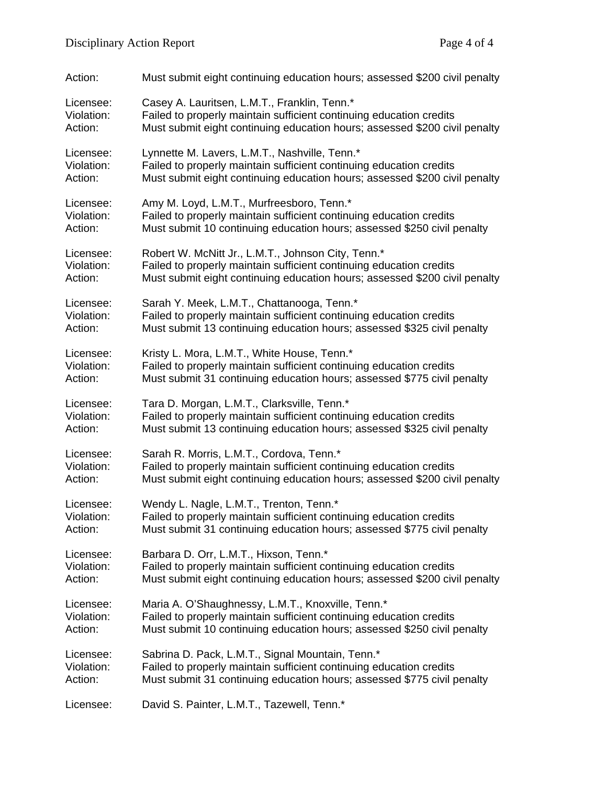| Action:    | Must submit eight continuing education hours; assessed \$200 civil penalty |
|------------|----------------------------------------------------------------------------|
| Licensee:  | Casey A. Lauritsen, L.M.T., Franklin, Tenn.*                               |
| Violation: | Failed to properly maintain sufficient continuing education credits        |
| Action:    | Must submit eight continuing education hours; assessed \$200 civil penalty |
| Licensee:  | Lynnette M. Lavers, L.M.T., Nashville, Tenn.*                              |
| Violation: | Failed to properly maintain sufficient continuing education credits        |
| Action:    | Must submit eight continuing education hours; assessed \$200 civil penalty |
| Licensee:  | Amy M. Loyd, L.M.T., Murfreesboro, Tenn.*                                  |
| Violation: | Failed to properly maintain sufficient continuing education credits        |
| Action:    | Must submit 10 continuing education hours; assessed \$250 civil penalty    |
| Licensee:  | Robert W. McNitt Jr., L.M.T., Johnson City, Tenn.*                         |
| Violation: | Failed to properly maintain sufficient continuing education credits        |
| Action:    | Must submit eight continuing education hours; assessed \$200 civil penalty |
| Licensee:  | Sarah Y. Meek, L.M.T., Chattanooga, Tenn.*                                 |
| Violation: | Failed to properly maintain sufficient continuing education credits        |
| Action:    | Must submit 13 continuing education hours; assessed \$325 civil penalty    |
| Licensee:  | Kristy L. Mora, L.M.T., White House, Tenn.*                                |
| Violation: | Failed to properly maintain sufficient continuing education credits        |
| Action:    | Must submit 31 continuing education hours; assessed \$775 civil penalty    |
| Licensee:  | Tara D. Morgan, L.M.T., Clarksville, Tenn.*                                |
| Violation: | Failed to properly maintain sufficient continuing education credits        |
| Action:    | Must submit 13 continuing education hours; assessed \$325 civil penalty    |
| Licensee:  | Sarah R. Morris, L.M.T., Cordova, Tenn.*                                   |
| Violation: | Failed to properly maintain sufficient continuing education credits        |
| Action:    | Must submit eight continuing education hours; assessed \$200 civil penalty |
| Licensee:  | Wendy L. Nagle, L.M.T., Trenton, Tenn.*                                    |
| Violation: | Failed to properly maintain sufficient continuing education credits        |
| Action:    | Must submit 31 continuing education hours; assessed \$775 civil penalty    |
| Licensee:  | Barbara D. Orr, L.M.T., Hixson, Tenn.*                                     |
| Violation: | Failed to properly maintain sufficient continuing education credits        |
| Action:    | Must submit eight continuing education hours; assessed \$200 civil penalty |
| Licensee:  | Maria A. O'Shaughnessy, L.M.T., Knoxville, Tenn.*                          |
| Violation: | Failed to properly maintain sufficient continuing education credits        |
| Action:    | Must submit 10 continuing education hours; assessed \$250 civil penalty    |
| Licensee:  | Sabrina D. Pack, L.M.T., Signal Mountain, Tenn.*                           |
| Violation: | Failed to properly maintain sufficient continuing education credits        |
| Action:    | Must submit 31 continuing education hours; assessed \$775 civil penalty    |
| Licensee:  | David S. Painter, L.M.T., Tazewell, Tenn.*                                 |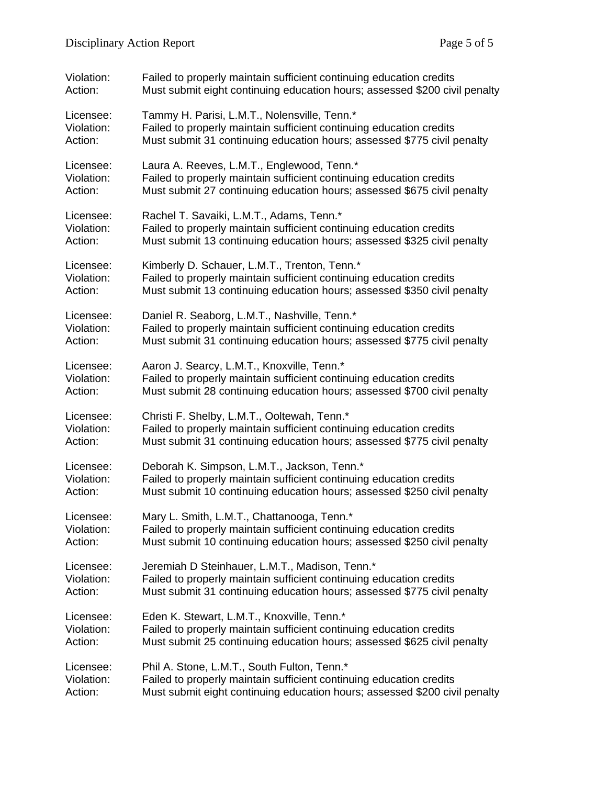| Violation: | Failed to properly maintain sufficient continuing education credits        |
|------------|----------------------------------------------------------------------------|
| Action:    | Must submit eight continuing education hours; assessed \$200 civil penalty |
| Licensee:  | Tammy H. Parisi, L.M.T., Nolensville, Tenn.*                               |
| Violation: | Failed to properly maintain sufficient continuing education credits        |
| Action:    | Must submit 31 continuing education hours; assessed \$775 civil penalty    |
| Licensee:  | Laura A. Reeves, L.M.T., Englewood, Tenn.*                                 |
| Violation: | Failed to properly maintain sufficient continuing education credits        |
| Action:    | Must submit 27 continuing education hours; assessed \$675 civil penalty    |
| Licensee:  | Rachel T. Savaiki, L.M.T., Adams, Tenn.*                                   |
| Violation: | Failed to properly maintain sufficient continuing education credits        |
| Action:    | Must submit 13 continuing education hours; assessed \$325 civil penalty    |
| Licensee:  | Kimberly D. Schauer, L.M.T., Trenton, Tenn.*                               |
| Violation: | Failed to properly maintain sufficient continuing education credits        |
| Action:    | Must submit 13 continuing education hours; assessed \$350 civil penalty    |
| Licensee:  | Daniel R. Seaborg, L.M.T., Nashville, Tenn.*                               |
| Violation: | Failed to properly maintain sufficient continuing education credits        |
| Action:    | Must submit 31 continuing education hours; assessed \$775 civil penalty    |
| Licensee:  | Aaron J. Searcy, L.M.T., Knoxville, Tenn.*                                 |
| Violation: | Failed to properly maintain sufficient continuing education credits        |
| Action:    | Must submit 28 continuing education hours; assessed \$700 civil penalty    |
| Licensee:  | Christi F. Shelby, L.M.T., Ooltewah, Tenn.*                                |
| Violation: | Failed to properly maintain sufficient continuing education credits        |
| Action:    | Must submit 31 continuing education hours; assessed \$775 civil penalty    |
| Licensee:  | Deborah K. Simpson, L.M.T., Jackson, Tenn.*                                |
| Violation: | Failed to properly maintain sufficient continuing education credits        |
| Action:    | Must submit 10 continuing education hours; assessed \$250 civil penalty    |
| Licensee:  | Mary L. Smith, L.M.T., Chattanooga, Tenn.*                                 |
| Violation: | Failed to properly maintain sufficient continuing education credits        |
| Action:    | Must submit 10 continuing education hours; assessed \$250 civil penalty    |
| Licensee:  | Jeremiah D Steinhauer, L.M.T., Madison, Tenn.*                             |
| Violation: | Failed to properly maintain sufficient continuing education credits        |
| Action:    | Must submit 31 continuing education hours; assessed \$775 civil penalty    |
| Licensee:  | Eden K. Stewart, L.M.T., Knoxville, Tenn.*                                 |
| Violation: | Failed to properly maintain sufficient continuing education credits        |
| Action:    | Must submit 25 continuing education hours; assessed \$625 civil penalty    |
| Licensee:  | Phil A. Stone, L.M.T., South Fulton, Tenn.*                                |
| Violation: | Failed to properly maintain sufficient continuing education credits        |
| Action:    | Must submit eight continuing education hours; assessed \$200 civil penalty |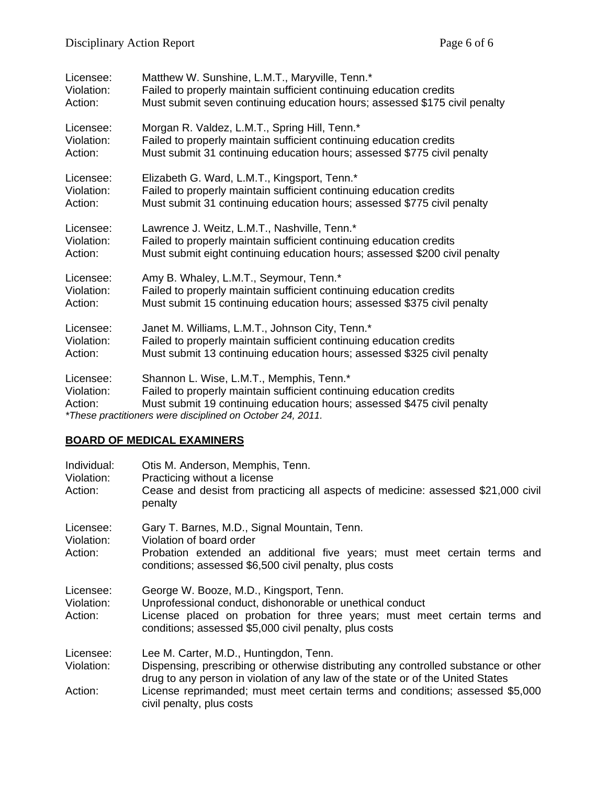| Licensee:                          | Matthew W. Sunshine, L.M.T., Maryville, Tenn.*                                                                                                                                                                                                           |
|------------------------------------|----------------------------------------------------------------------------------------------------------------------------------------------------------------------------------------------------------------------------------------------------------|
| Violation:                         | Failed to properly maintain sufficient continuing education credits                                                                                                                                                                                      |
| Action:                            | Must submit seven continuing education hours; assessed \$175 civil penalty                                                                                                                                                                               |
| Licensee:                          | Morgan R. Valdez, L.M.T., Spring Hill, Tenn.*                                                                                                                                                                                                            |
| Violation:                         | Failed to properly maintain sufficient continuing education credits                                                                                                                                                                                      |
| Action:                            | Must submit 31 continuing education hours; assessed \$775 civil penalty                                                                                                                                                                                  |
| Licensee:                          | Elizabeth G. Ward, L.M.T., Kingsport, Tenn.*                                                                                                                                                                                                             |
| Violation:                         | Failed to properly maintain sufficient continuing education credits                                                                                                                                                                                      |
| Action:                            | Must submit 31 continuing education hours; assessed \$775 civil penalty                                                                                                                                                                                  |
| Licensee:                          | Lawrence J. Weitz, L.M.T., Nashville, Tenn.*                                                                                                                                                                                                             |
| Violation:                         | Failed to properly maintain sufficient continuing education credits                                                                                                                                                                                      |
| Action:                            | Must submit eight continuing education hours; assessed \$200 civil penalty                                                                                                                                                                               |
| Licensee:                          | Amy B. Whaley, L.M.T., Seymour, Tenn.*                                                                                                                                                                                                                   |
| Violation:                         | Failed to properly maintain sufficient continuing education credits                                                                                                                                                                                      |
| Action:                            | Must submit 15 continuing education hours; assessed \$375 civil penalty                                                                                                                                                                                  |
| Licensee:                          | Janet M. Williams, L.M.T., Johnson City, Tenn.*                                                                                                                                                                                                          |
| Violation:                         | Failed to properly maintain sufficient continuing education credits                                                                                                                                                                                      |
| Action:                            | Must submit 13 continuing education hours; assessed \$325 civil penalty                                                                                                                                                                                  |
| Licensee:<br>Violation:<br>Action: | Shannon L. Wise, L.M.T., Memphis, Tenn.*<br>Failed to properly maintain sufficient continuing education credits<br>Must submit 19 continuing education hours; assessed \$475 civil penalty<br>*These practitioners were disciplined on October 24, 2011. |

## **BOARD OF MEDICAL EXAMINERS**

| Individual:<br>Violation:<br>Action: | Otis M. Anderson, Memphis, Tenn.<br>Practicing without a license<br>Cease and desist from practicing all aspects of medicine: assessed \$21,000 civil<br>penalty                                                                           |
|--------------------------------------|--------------------------------------------------------------------------------------------------------------------------------------------------------------------------------------------------------------------------------------------|
| Licensee:<br>Violation:<br>Action:   | Gary T. Barnes, M.D., Signal Mountain, Tenn.<br>Violation of board order<br>Probation extended an additional five years; must meet certain terms and<br>conditions; assessed \$6,500 civil penalty, plus costs                             |
| Licensee:<br>Violation:<br>Action:   | George W. Booze, M.D., Kingsport, Tenn.<br>Unprofessional conduct, dishonorable or unethical conduct<br>License placed on probation for three years; must meet certain terms and<br>conditions; assessed \$5,000 civil penalty, plus costs |
| Licensee:<br>Violation:              | Lee M. Carter, M.D., Huntingdon, Tenn.<br>Dispensing, prescribing or otherwise distributing any controlled substance or other<br>drug to any person in violation of any law of the state or of the United States                           |
| Action:                              | License reprimanded; must meet certain terms and conditions; assessed \$5,000<br>civil penalty, plus costs                                                                                                                                 |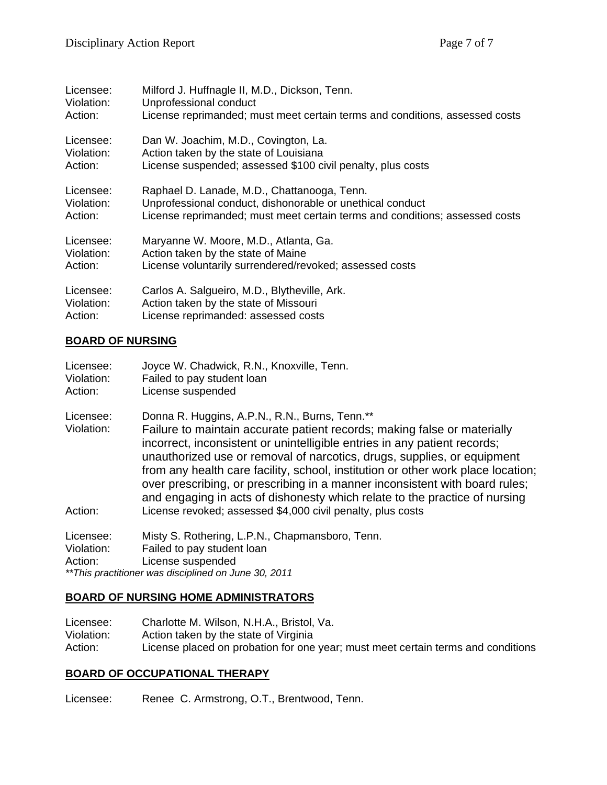| Licensee:  | Milford J. Huffnagle II, M.D., Dickson, Tenn.                               |
|------------|-----------------------------------------------------------------------------|
| Violation: | Unprofessional conduct                                                      |
| Action:    | License reprimanded; must meet certain terms and conditions, assessed costs |
| Licensee:  | Dan W. Joachim, M.D., Covington, La.                                        |
| Violation: | Action taken by the state of Louisiana                                      |
| Action:    | License suspended; assessed \$100 civil penalty, plus costs                 |
| Licensee:  | Raphael D. Lanade, M.D., Chattanooga, Tenn.                                 |
| Violation: | Unprofessional conduct, dishonorable or unethical conduct                   |
| Action:    | License reprimanded; must meet certain terms and conditions; assessed costs |
| Licensee:  | Maryanne W. Moore, M.D., Atlanta, Ga.                                       |
| Violation: | Action taken by the state of Maine                                          |
| Action:    | License voluntarily surrendered/revoked; assessed costs                     |
| Licensee:  | Carlos A. Salgueiro, M.D., Blytheville, Ark.                                |
| Violation: | Action taken by the state of Missouri                                       |
| Action:    | License reprimanded: assessed costs                                         |

### **BOARD OF NURSING**

| Licensee:<br>Violation: | Joyce W. Chadwick, R.N., Knoxville, Tenn.<br>Failed to pay student loan                                                                                                                                                                                                                                                                                                                                                                                                           |
|-------------------------|-----------------------------------------------------------------------------------------------------------------------------------------------------------------------------------------------------------------------------------------------------------------------------------------------------------------------------------------------------------------------------------------------------------------------------------------------------------------------------------|
| Action:                 | License suspended                                                                                                                                                                                                                                                                                                                                                                                                                                                                 |
| Licensee:               | Donna R. Huggins, A.P.N., R.N., Burns, Tenn.**                                                                                                                                                                                                                                                                                                                                                                                                                                    |
| Violation:              | Failure to maintain accurate patient records; making false or materially<br>incorrect, inconsistent or unintelligible entries in any patient records;<br>unauthorized use or removal of narcotics, drugs, supplies, or equipment<br>from any health care facility, school, institution or other work place location;<br>over prescribing, or prescribing in a manner inconsistent with board rules;<br>and engaging in acts of dishonesty which relate to the practice of nursing |
| Action:                 | License revoked; assessed \$4,000 civil penalty, plus costs                                                                                                                                                                                                                                                                                                                                                                                                                       |
| Licensee:               | Misty S. Rothering, L.P.N., Chapmansboro, Tenn.                                                                                                                                                                                                                                                                                                                                                                                                                                   |
| Violation:              | Failed to pay student loan                                                                                                                                                                                                                                                                                                                                                                                                                                                        |
| Action:                 | License suspended                                                                                                                                                                                                                                                                                                                                                                                                                                                                 |
|                         | ** This practitioner was disciplined on June 30, 2011                                                                                                                                                                                                                                                                                                                                                                                                                             |

## **BOARD OF NURSING HOME ADMINISTRATORS**

| Licensee:  | Charlotte M. Wilson, N.H.A., Bristol, Va.                                        |
|------------|----------------------------------------------------------------------------------|
| Violation: | Action taken by the state of Virginia                                            |
| Action:    | License placed on probation for one year; must meet certain terms and conditions |

## **BOARD OF OCCUPATIONAL THERAPY**

Licensee: Renee C. Armstrong, O.T., Brentwood, Tenn.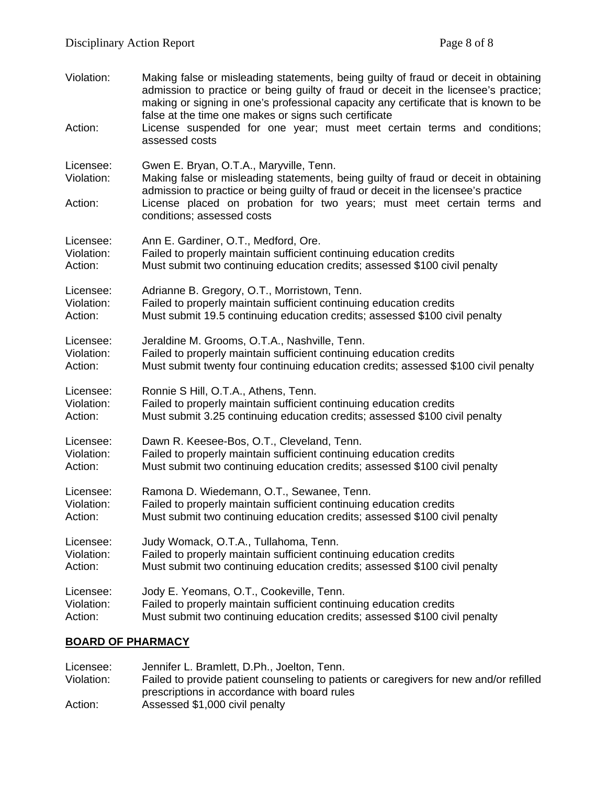Violation: Making false or misleading statements, being guilty of fraud or deceit in obtaining admission to practice or being guilty of fraud or deceit in the licensee's practice; making or signing in one's professional capacity any certificate that is known to be false at the time one makes or signs such certificate Action: License suspended for one year; must meet certain terms and conditions; assessed costs Licensee: Gwen E. Bryan, O.T.A., Maryville, Tenn. Violation: Making false or misleading statements, being guilty of fraud or deceit in obtaining admission to practice or being guilty of fraud or deceit in the licensee's practice Action: License placed on probation for two years; must meet certain terms and conditions; assessed costs Licensee: Ann E. Gardiner, O.T., Medford, Ore. Violation: Failed to properly maintain sufficient continuing education credits Action: Must submit two continuing education credits; assessed \$100 civil penalty Licensee: Adrianne B. Gregory, O.T., Morristown, Tenn. Violation: Failed to properly maintain sufficient continuing education credits Action: Must submit 19.5 continuing education credits; assessed \$100 civil penalty Licensee: Jeraldine M. Grooms, O.T.A., Nashville, Tenn. Violation: Failed to properly maintain sufficient continuing education credits Action: Must submit twenty four continuing education credits; assessed \$100 civil penalty Licensee: Ronnie S Hill, O.T.A., Athens, Tenn. Violation: Failed to properly maintain sufficient continuing education credits Action: Must submit 3.25 continuing education credits; assessed \$100 civil penalty Licensee: Dawn R. Keesee-Bos, O.T., Cleveland, Tenn. Violation: Failed to properly maintain sufficient continuing education credits Action: Must submit two continuing education credits; assessed \$100 civil penalty Licensee: Ramona D. Wiedemann, O.T., Sewanee, Tenn. Violation: Failed to properly maintain sufficient continuing education credits Action: Must submit two continuing education credits; assessed \$100 civil penalty Licensee: Judy Womack, O.T.A., Tullahoma, Tenn. Violation: Failed to properly maintain sufficient continuing education credits Action: Must submit two continuing education credits; assessed \$100 civil penalty Licensee: Jody E. Yeomans, O.T., Cookeville, Tenn. Violation: Failed to properly maintain sufficient continuing education credits Action: Must submit two continuing education credits; assessed \$100 civil penalty

### **BOARD OF PHARMACY**

| Licensee:  | Jennifer L. Bramlett, D.Ph., Joelton, Tenn.                                            |
|------------|----------------------------------------------------------------------------------------|
| Violation: | Failed to provide patient counseling to patients or caregivers for new and/or refilled |
|            | prescriptions in accordance with board rules                                           |
| Action:    | Assessed \$1,000 civil penalty                                                         |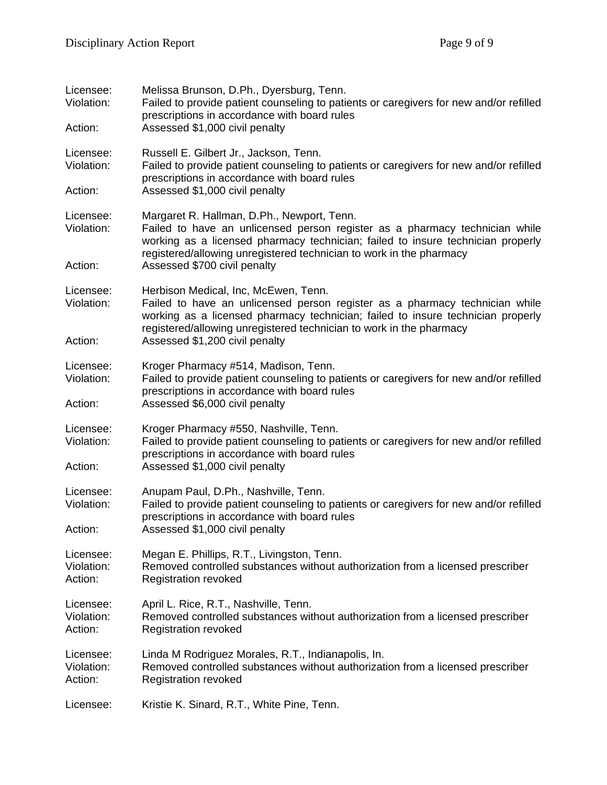| Licensee:<br>Violation:<br>Action: | Melissa Brunson, D.Ph., Dyersburg, Tenn.<br>Failed to provide patient counseling to patients or caregivers for new and/or refilled<br>prescriptions in accordance with board rules<br>Assessed \$1,000 civil penalty                                                                                                |
|------------------------------------|---------------------------------------------------------------------------------------------------------------------------------------------------------------------------------------------------------------------------------------------------------------------------------------------------------------------|
| Licensee:<br>Violation:<br>Action: | Russell E. Gilbert Jr., Jackson, Tenn.<br>Failed to provide patient counseling to patients or caregivers for new and/or refilled<br>prescriptions in accordance with board rules<br>Assessed \$1,000 civil penalty                                                                                                  |
| Licensee:<br>Violation:<br>Action: | Margaret R. Hallman, D.Ph., Newport, Tenn.<br>Failed to have an unlicensed person register as a pharmacy technician while<br>working as a licensed pharmacy technician; failed to insure technician properly<br>registered/allowing unregistered technician to work in the pharmacy<br>Assessed \$700 civil penalty |
| Licensee:<br>Violation:<br>Action: | Herbison Medical, Inc, McEwen, Tenn.<br>Failed to have an unlicensed person register as a pharmacy technician while<br>working as a licensed pharmacy technician; failed to insure technician properly<br>registered/allowing unregistered technician to work in the pharmacy<br>Assessed \$1,200 civil penalty     |
| Licensee:<br>Violation:<br>Action: | Kroger Pharmacy #514, Madison, Tenn.<br>Failed to provide patient counseling to patients or caregivers for new and/or refilled<br>prescriptions in accordance with board rules<br>Assessed \$6,000 civil penalty                                                                                                    |
| Licensee:<br>Violation:<br>Action: | Kroger Pharmacy #550, Nashville, Tenn.<br>Failed to provide patient counseling to patients or caregivers for new and/or refilled<br>prescriptions in accordance with board rules<br>Assessed \$1,000 civil penalty                                                                                                  |
| Licensee:<br>Violation:<br>Action: | Anupam Paul, D.Ph., Nashville, Tenn.<br>Failed to provide patient counseling to patients or caregivers for new and/or refilled<br>prescriptions in accordance with board rules<br>Assessed \$1,000 civil penalty                                                                                                    |
| Licensee:<br>Violation:<br>Action: | Megan E. Phillips, R.T., Livingston, Tenn.<br>Removed controlled substances without authorization from a licensed prescriber<br>Registration revoked                                                                                                                                                                |
| Licensee:<br>Violation:<br>Action: | April L. Rice, R.T., Nashville, Tenn.<br>Removed controlled substances without authorization from a licensed prescriber<br><b>Registration revoked</b>                                                                                                                                                              |
| Licensee:<br>Violation:<br>Action: | Linda M Rodriguez Morales, R.T., Indianapolis, In.<br>Removed controlled substances without authorization from a licensed prescriber<br><b>Registration revoked</b>                                                                                                                                                 |
| Licensee:                          | Kristie K. Sinard, R.T., White Pine, Tenn.                                                                                                                                                                                                                                                                          |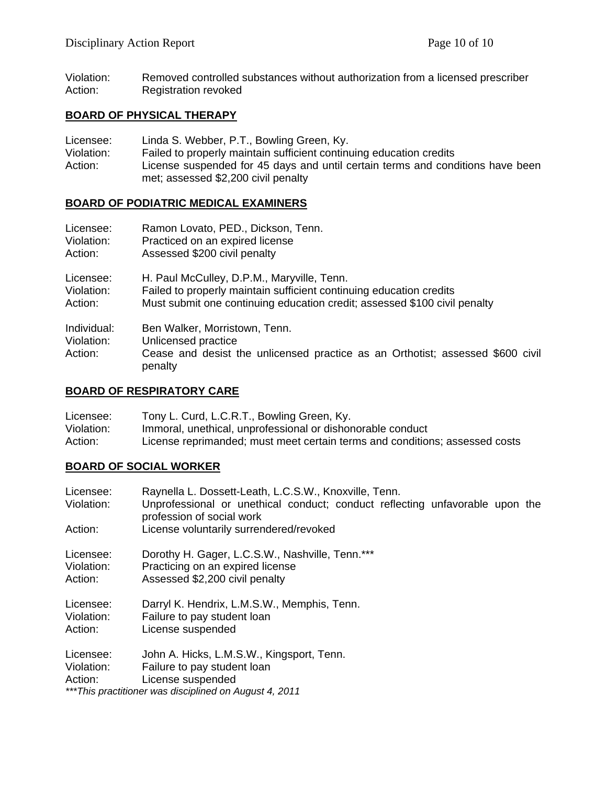Violation: Removed controlled substances without authorization from a licensed prescriber<br>Action: Registration revoked Registration revoked

## **BOARD OF PHYSICAL THERAPY**

| Licensee:  | Linda S. Webber, P.T., Bowling Green, Ky.                                      |
|------------|--------------------------------------------------------------------------------|
| Violation: | Failed to properly maintain sufficient continuing education credits            |
| Action:    | License suspended for 45 days and until certain terms and conditions have been |
|            | met; assessed \$2,200 civil penalty                                            |

#### **BOARD OF PODIATRIC MEDICAL EXAMINERS**

| Licensee:                            | Ramon Lovato, PED., Dickson, Tenn.                                                                                                                |
|--------------------------------------|---------------------------------------------------------------------------------------------------------------------------------------------------|
| Violation:                           | Practiced on an expired license                                                                                                                   |
| Action:                              | Assessed \$200 civil penalty                                                                                                                      |
| Licensee:                            | H. Paul McCulley, D.P.M., Maryville, Tenn.                                                                                                        |
| Violation:                           | Failed to properly maintain sufficient continuing education credits                                                                               |
| Action:                              | Must submit one continuing education credit; assessed \$100 civil penalty                                                                         |
| Individual:<br>Violation:<br>Action: | Ben Walker, Morristown, Tenn.<br>Unlicensed practice<br>Cease and desist the unlicensed practice as an Orthotist; assessed \$600 civil<br>penalty |

#### **BOARD OF RESPIRATORY CARE**

| Licensee:  | Tony L. Curd, L.C.R.T., Bowling Green, Ky.                                  |
|------------|-----------------------------------------------------------------------------|
| Violation: | Immoral, unethical, unprofessional or dishonorable conduct                  |
| Action:    | License reprimanded; must meet certain terms and conditions; assessed costs |

#### **BOARD OF SOCIAL WORKER**

| Licensee:<br>Violation:            | Raynella L. Dossett-Leath, L.C.S.W., Knoxville, Tenn.<br>Unprofessional or unethical conduct; conduct reflecting unfavorable upon the<br>profession of social work |
|------------------------------------|--------------------------------------------------------------------------------------------------------------------------------------------------------------------|
| Action:                            | License voluntarily surrendered/revoked                                                                                                                            |
| Licensee:<br>Violation:<br>Action: | Dorothy H. Gager, L.C.S.W., Nashville, Tenn.***<br>Practicing on an expired license<br>Assessed \$2,200 civil penalty                                              |
| Licensee:<br>Violation:<br>Action: | Darryl K. Hendrix, L.M.S.W., Memphis, Tenn.<br>Failure to pay student loan<br>License suspended                                                                    |
| Licensee:<br>Violation:<br>Action: | John A. Hicks, L.M.S.W., Kingsport, Tenn.<br>Failure to pay student loan<br>License suspended<br>*** This practitioner was disciplined on August 4, 2011           |